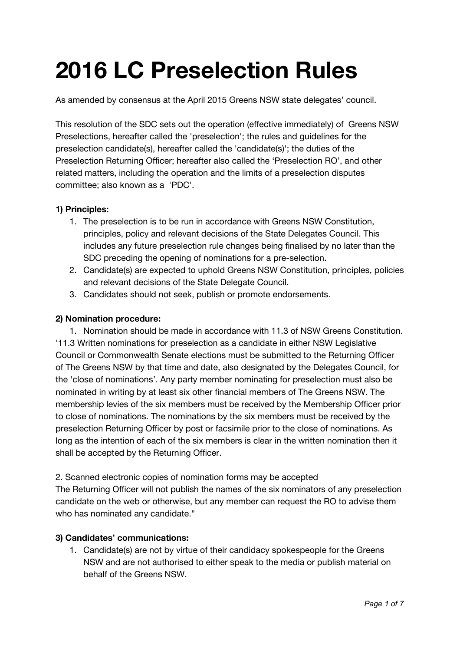# **2016 LC Preselection Rules**

As amended by consensus at the April 2015 Greens NSW state delegates' council.

This resolution of the SDC sets out the operation (effective immediately) of Greens NSW Preselections, hereafter called the 'preselection'; the rules and guidelines for the preselection candidate(s), hereafter called the 'candidate(s)'; the duties of the Preselection Returning Officer; hereafter also called the 'Preselection RO', and other related matters, including the operation and the limits of a preselection disputes committee; also known as a 'PDC'.

## **1) Principles:**

- 1. The preselection is to be run in accordance with Greens NSW Constitution, principles, policy and relevant decisions of the State Delegates Council. This includes any future preselection rule changes being finalised by no later than the SDC preceding the opening of nominations for a pre-selection.
- 2. Candidate(s) are expected to uphold Greens NSW Constitution, principles, policies and relevant decisions of the State Delegate Council.
- 3. Candidates should not seek, publish or promote endorsements.

## **2) Nomination procedure:**

1. Nomination should be made in accordance with 11.3 of NSW Greens Constitution. '11.3 Written nominations for preselection as a candidate in either NSW Legislative Council or Commonwealth Senate elections must be submitted to the Returning Officer of The Greens NSW by that time and date, also designated by the Delegates Council, for the 'close of nominations'. Any party member nominating for preselection must also be nominated in writing by at least six other financial members of The Greens NSW. The membership levies of the six members must be received by the Membership Officer prior to close of nominations. The nominations by the six members must be received by the preselection Returning Officer by post or facsimile prior to the close of nominations. As long as the intention of each of the six members is clear in the written nomination then it shall be accepted by the Returning Officer.

2. Scanned electronic copies of nomination forms may be accepted The Returning Officer will not publish the names of the six nominators of any preselection candidate on the web or otherwise, but any member can request the RO to advise them who has nominated any candidate."

## **3) Candidates' communications:**

1. Candidate(s) are not by virtue of their candidacy spokespeople for the Greens NSW and are not authorised to either speak to the media or publish material on behalf of the Greens NSW.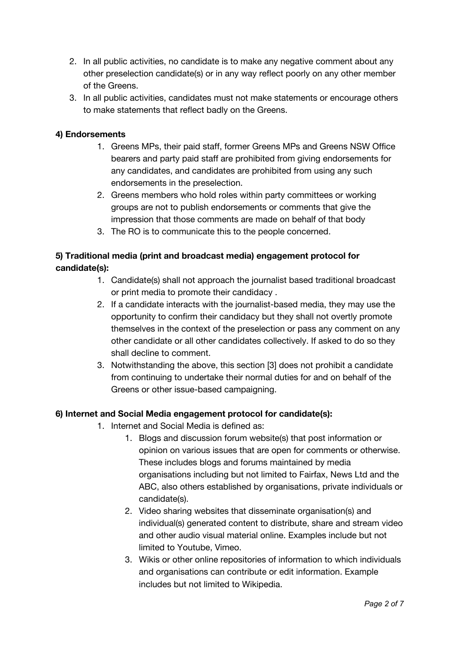- 2. In all public activities, no candidate is to make any negative comment about any other preselection candidate(s) or in any way reflect poorly on any other member of the Greens.
- 3. In all public activities, candidates must not make statements or encourage others to make statements that reflect badly on the Greens.

## **4) Endorsements**

- 1. Greens MPs, their paid staff, former Greens MPs and Greens NSW Office bearers and party paid staff are prohibited from giving endorsements for any candidates, and candidates are prohibited from using any such endorsements in the preselection.
- 2. Greens members who hold roles within party committees or working groups are not to publish endorsements or comments that give the impression that those comments are made on behalf of that body
- 3. The RO is to communicate this to the people concerned.

# **5) Traditional media (print and broadcast media) engagement protocol for candidate(s):**

- 1. Candidate(s) shall not approach the journalist based traditional broadcast or print media to promote their candidacy .
- 2. If a candidate interacts with the journalist-based media, they may use the opportunity to confirm their candidacy but they shall not overtly promote themselves in the context of the preselection or pass any comment on any other candidate or all other candidates collectively. If asked to do so they shall decline to comment.
- 3. Notwithstanding the above, this section [3] does not prohibit a candidate from continuing to undertake their normal duties for and on behalf of the Greens or other issue-based campaigning.

## **6) Internet and Social Media engagement protocol for candidate(s):**

- 1. Internet and Social Media is defined as:
	- 1. Blogs and discussion forum website(s) that post information or opinion on various issues that are open for comments or otherwise. These includes blogs and forums maintained by media organisations including but not limited to Fairfax, News Ltd and the ABC, also others established by organisations, private individuals or candidate(s).
	- 2. Video sharing websites that disseminate organisation(s) and individual(s) generated content to distribute, share and stream video and other audio visual material online. Examples include but not limited to Youtube, Vimeo.
	- 3. Wikis or other online repositories of information to which individuals and organisations can contribute or edit information. Example includes but not limited to Wikipedia.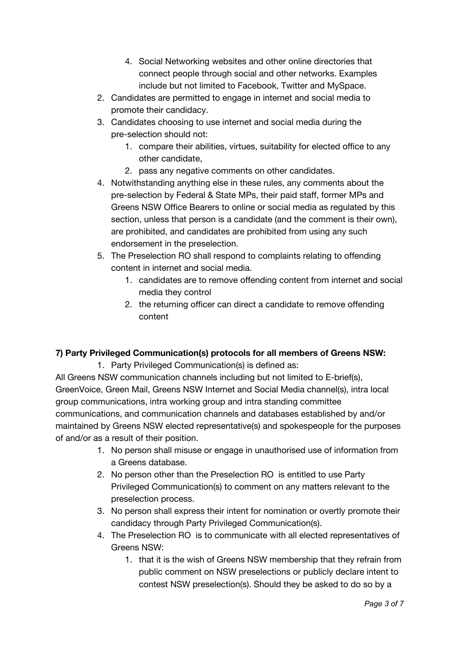- 4. Social Networking websites and other online directories that connect people through social and other networks. Examples include but not limited to Facebook, Twitter and MySpace.
- 2. Candidates are permitted to engage in internet and social media to promote their candidacy.
- 3. Candidates choosing to use internet and social media during the pre-selection should not:
	- 1. compare their abilities, virtues, suitability for elected office to any other candidate,
	- 2. pass any negative comments on other candidates.
- 4. Notwithstanding anything else in these rules, any comments about the pre-selection by Federal & State MPs, their paid staff, former MPs and Greens NSW Office Bearers to online or social media as regulated by this section, unless that person is a candidate (and the comment is their own), are prohibited, and candidates are prohibited from using any such endorsement in the preselection.
- 5. The Preselection RO shall respond to complaints relating to offending content in internet and social media.
	- 1. candidates are to remove offending content from internet and social media they control
	- 2. the returning officer can direct a candidate to remove offending content

# **7) Party Privileged Communication(s) protocols for all members of Greens NSW:**

1. Party Privileged Communication(s) is defined as:

All Greens NSW communication channels including but not limited to E-brief(s), GreenVoice, Green Mail, Greens NSW Internet and Social Media channel(s), intra local group communications, intra working group and intra standing committee communications, and communication channels and databases established by and/or maintained by Greens NSW elected representative(s) and spokespeople for the purposes of and/or as a result of their position.

- 1. No person shall misuse or engage in unauthorised use of information from a Greens database.
- 2. No person other than the Preselection RO is entitled to use Party Privileged Communication(s) to comment on any matters relevant to the preselection process.
- 3. No person shall express their intent for nomination or overtly promote their candidacy through Party Privileged Communication(s).
- 4. The Preselection RO is to communicate with all elected representatives of Greens NSW:
	- 1. that it is the wish of Greens NSW membership that they refrain from public comment on NSW preselections or publicly declare intent to contest NSW preselection(s). Should they be asked to do so by a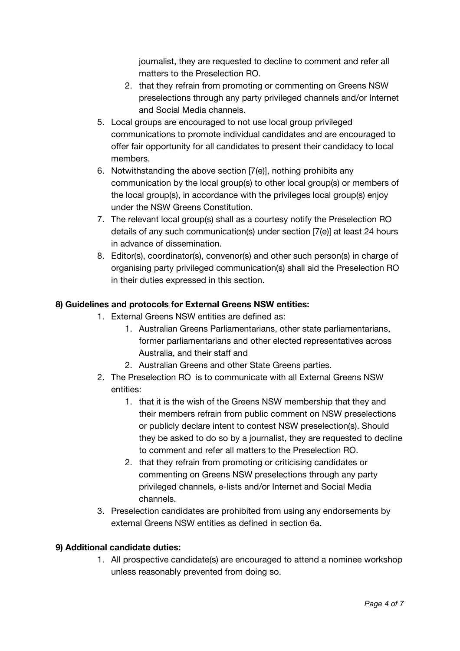journalist, they are requested to decline to comment and refer all matters to the Preselection RO.

- 2. that they refrain from promoting or commenting on Greens NSW preselections through any party privileged channels and/or Internet and Social Media channels.
- 5. Local groups are encouraged to not use local group privileged communications to promote individual candidates and are encouraged to offer fair opportunity for all candidates to present their candidacy to local members.
- 6. Notwithstanding the above section [7(e)], nothing prohibits any communication by the local group(s) to other local group(s) or members of the local group(s), in accordance with the privileges local group(s) enjoy under the NSW Greens Constitution.
- 7. The relevant local group(s) shall as a courtesy notify the Preselection RO details of any such communication(s) under section [7(e)] at least 24 hours in advance of dissemination.
- 8. Editor(s), coordinator(s), convenor(s) and other such person(s) in charge of organising party privileged communication(s) shall aid the Preselection RO in their duties expressed in this section.

# **8) Guidelines and protocols for External Greens NSW entities:**

- 1. External Greens NSW entities are defined as:
	- 1. Australian Greens Parliamentarians, other state parliamentarians, former parliamentarians and other elected representatives across Australia, and their staff and
	- 2. Australian Greens and other State Greens parties.
- 2. The Preselection RO is to communicate with all External Greens NSW entities:
	- 1. that it is the wish of the Greens NSW membership that they and their members refrain from public comment on NSW preselections or publicly declare intent to contest NSW preselection(s). Should they be asked to do so by a journalist, they are requested to decline to comment and refer all matters to the Preselection RO.
	- 2. that they refrain from promoting or criticising candidates or commenting on Greens NSW preselections through any party privileged channels, e-lists and/or Internet and Social Media channels.
- 3. Preselection candidates are prohibited from using any endorsements by external Greens NSW entities as defined in section 6a.

# **9) Additional candidate duties:**

1. All prospective candidate(s) are encouraged to attend a nominee workshop unless reasonably prevented from doing so.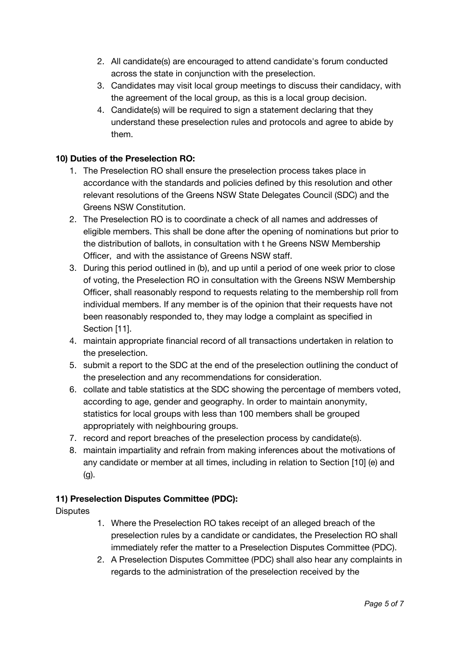- 2. All candidate(s) are encouraged to attend candidate's forum conducted across the state in conjunction with the preselection.
- 3. Candidates may visit local group meetings to discuss their candidacy, with the agreement of the local group, as this is a local group decision.
- 4. Candidate(s) will be required to sign a statement declaring that they understand these preselection rules and protocols and agree to abide by them.

# **10) Duties of the Preselection RO:**

- 1. The Preselection RO shall ensure the preselection process takes place in accordance with the standards and policies defined by this resolution and other relevant resolutions of the Greens NSW State Delegates Council (SDC) and the Greens NSW Constitution.
- 2. The Preselection RO is to coordinate a check of all names and addresses of eligible members. This shall be done after the opening of nominations but prior to the distribution of ballots, in consultation with t he Greens NSW Membership Officer, and with the assistance of Greens NSW staff.
- 3. During this period outlined in (b), and up until a period of one week prior to close of voting, the Preselection RO in consultation with the Greens NSW Membership Officer, shall reasonably respond to requests relating to the membership roll from individual members. If any member is of the opinion that their requests have not been reasonably responded to, they may lodge a complaint as specified in Section [11].
- 4. maintain appropriate financial record of all transactions undertaken in relation to the preselection.
- 5. submit a report to the SDC at the end of the preselection outlining the conduct of the preselection and any recommendations for consideration.
- 6. collate and table statistics at the SDC showing the percentage of members voted, according to age, gender and geography. In order to maintain anonymity, statistics for local groups with less than 100 members shall be grouped appropriately with neighbouring groups.
- 7. record and report breaches of the preselection process by candidate(s).
- 8. maintain impartiality and refrain from making inferences about the motivations of any candidate or member at all times, including in relation to Section [10] (e) and (g).

# **11) Preselection Disputes Committee (PDC):**

**Disputes** 

- 1. Where the Preselection RO takes receipt of an alleged breach of the preselection rules by a candidate or candidates, the Preselection RO shall immediately refer the matter to a Preselection Disputes Committee (PDC).
- 2. A Preselection Disputes Committee (PDC) shall also hear any complaints in regards to the administration of the preselection received by the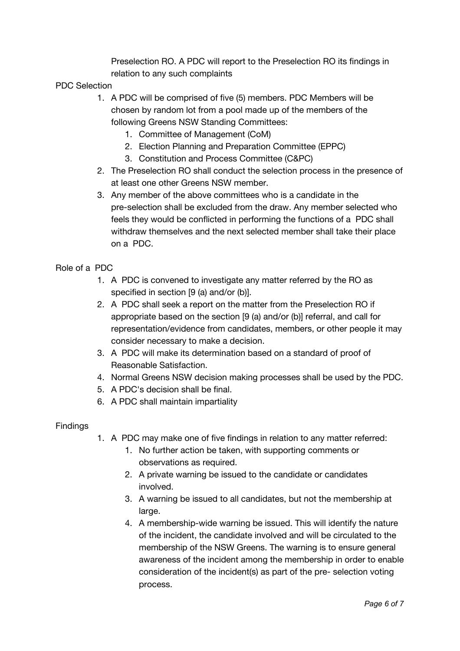Preselection RO. A PDC will report to the Preselection RO its findings in relation to any such complaints

## PDC Selection

- 1. A PDC will be comprised of five (5) members. PDC Members will be chosen by random lot from a pool made up of the members of the following Greens NSW Standing Committees:
	- 1. Committee of Management (CoM)
	- 2. Election Planning and Preparation Committee (EPPC)
	- 3. Constitution and Process Committee (C&PC)
- 2. The Preselection RO shall conduct the selection process in the presence of at least one other Greens NSW member.
- 3. Any member of the above committees who is a candidate in the pre-selection shall be excluded from the draw. Any member selected who feels they would be conflicted in performing the functions of a PDC shall withdraw themselves and the next selected member shall take their place on a PDC.

## Role of a PDC

- 1. A PDC is convened to investigate any matter referred by the RO as specified in section [9 (a) and/or (b)].
- 2. A PDC shall seek a report on the matter from the Preselection RO if appropriate based on the section [9 (a) and/or (b)] referral, and call for representation/evidence from candidates, members, or other people it may consider necessary to make a decision.
- 3. A PDC will make its determination based on a standard of proof of Reasonable Satisfaction.
- 4. Normal Greens NSW decision making processes shall be used by the PDC.
- 5. A PDC's decision shall be final.
- 6. A PDC shall maintain impartiality

## **Findings**

- 1. A PDC may make one of five findings in relation to any matter referred:
	- 1. No further action be taken, with supporting comments or observations as required.
	- 2. A private warning be issued to the candidate or candidates involved.
	- 3. A warning be issued to all candidates, but not the membership at large.
	- 4. A membership-wide warning be issued. This will identify the nature of the incident, the candidate involved and will be circulated to the membership of the NSW Greens. The warning is to ensure general awareness of the incident among the membership in order to enable consideration of the incident(s) as part of the pre- selection voting process.